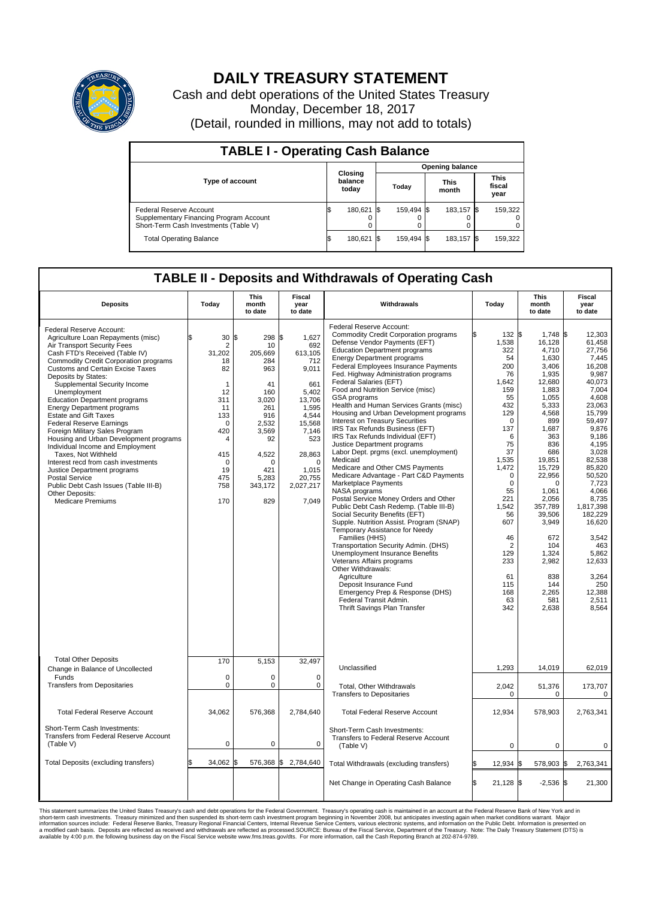

## **DAILY TREASURY STATEMENT**

Cash and debt operations of the United States Treasury Monday, December 18, 2017 (Detail, rounded in millions, may not add to totals)

| <b>TABLE I - Operating Cash Balance</b>                                                                     |    |                             |  |                        |  |                      |  |                               |  |  |
|-------------------------------------------------------------------------------------------------------------|----|-----------------------------|--|------------------------|--|----------------------|--|-------------------------------|--|--|
|                                                                                                             |    |                             |  | <b>Opening balance</b> |  |                      |  |                               |  |  |
| <b>Type of account</b>                                                                                      |    | Closing<br>balance<br>today |  | Today                  |  | <b>This</b><br>month |  | <b>This</b><br>fiscal<br>year |  |  |
| Federal Reserve Account<br>Supplementary Financing Program Account<br>Short-Term Cash Investments (Table V) |    | 180,621 \$                  |  | 159,494 \$             |  | 183.157 \$           |  | 159,322                       |  |  |
| <b>Total Operating Balance</b>                                                                              | IЭ | 180,621 \$                  |  | 159.494 \$             |  | 183,157 \$           |  | 159,322                       |  |  |

## **TABLE II - Deposits and Withdrawals of Operating Cash**

| <b>Deposits</b>                                                                                                                                                                                                                                                                                                                                                                                                                                                                                                                                                                                                                                                                                                                                                          | Today                                                                                                                                                                      | <b>This</b><br>month<br>to date                                                                                                                                 | <b>Fiscal</b><br>year<br>to date                                                                                                                                                | Withdrawals                                                                                                                                                                                                                                                                                                                                                                                                                                                                                                                                                                                                                                                                                                                                                                                                                                                                                                                                                                                                                                                                                                                                                                                                                                                           | Today                                                                                                                                                                                                                                                                       | <b>This</b><br>month<br>to date                                                                                                                                                                                                                                                                              | Fiscal<br>year<br>to date                                                                                                                                                                                                                                                                                                      |
|--------------------------------------------------------------------------------------------------------------------------------------------------------------------------------------------------------------------------------------------------------------------------------------------------------------------------------------------------------------------------------------------------------------------------------------------------------------------------------------------------------------------------------------------------------------------------------------------------------------------------------------------------------------------------------------------------------------------------------------------------------------------------|----------------------------------------------------------------------------------------------------------------------------------------------------------------------------|-----------------------------------------------------------------------------------------------------------------------------------------------------------------|---------------------------------------------------------------------------------------------------------------------------------------------------------------------------------|-----------------------------------------------------------------------------------------------------------------------------------------------------------------------------------------------------------------------------------------------------------------------------------------------------------------------------------------------------------------------------------------------------------------------------------------------------------------------------------------------------------------------------------------------------------------------------------------------------------------------------------------------------------------------------------------------------------------------------------------------------------------------------------------------------------------------------------------------------------------------------------------------------------------------------------------------------------------------------------------------------------------------------------------------------------------------------------------------------------------------------------------------------------------------------------------------------------------------------------------------------------------------|-----------------------------------------------------------------------------------------------------------------------------------------------------------------------------------------------------------------------------------------------------------------------------|--------------------------------------------------------------------------------------------------------------------------------------------------------------------------------------------------------------------------------------------------------------------------------------------------------------|--------------------------------------------------------------------------------------------------------------------------------------------------------------------------------------------------------------------------------------------------------------------------------------------------------------------------------|
| Federal Reserve Account:<br>Agriculture Loan Repayments (misc)<br>Air Transport Security Fees<br>Cash FTD's Received (Table IV)<br>Commodity Credit Corporation programs<br><b>Customs and Certain Excise Taxes</b><br>Deposits by States:<br>Supplemental Security Income<br>Unemployment<br><b>Education Department programs</b><br><b>Energy Department programs</b><br><b>Estate and Gift Taxes</b><br><b>Federal Reserve Earnings</b><br>Foreign Military Sales Program<br>Housing and Urban Development programs<br>Individual Income and Employment<br>Taxes, Not Withheld<br>Interest recd from cash investments<br>Justice Department programs<br><b>Postal Service</b><br>Public Debt Cash Issues (Table III-B)<br>Other Deposits:<br><b>Medicare Premiums</b> | 30<br>\$.<br>$\overline{2}$<br>31,202<br>18<br>82<br>$\mathbf{1}$<br>12<br>311<br>11<br>133<br>0<br>420<br>$\overline{4}$<br>415<br>$\mathbf 0$<br>19<br>475<br>758<br>170 | 1\$<br>298 \$<br>10<br>205,669<br>284<br>963<br>41<br>160<br>3,020<br>261<br>916<br>2,532<br>3,569<br>92<br>4,522<br>$\Omega$<br>421<br>5,283<br>343,172<br>829 | 1,627<br>692<br>613,105<br>712<br>9,011<br>661<br>5,402<br>13,706<br>1,595<br>4,544<br>15,568<br>7,146<br>523<br>28,863<br>$\mathbf 0$<br>1.015<br>20,755<br>2,027,217<br>7,049 | Federal Reserve Account:<br><b>Commodity Credit Corporation programs</b><br>Defense Vendor Payments (EFT)<br><b>Education Department programs</b><br><b>Energy Department programs</b><br><b>Federal Employees Insurance Payments</b><br>Fed. Highway Administration programs<br>Federal Salaries (EFT)<br>Food and Nutrition Service (misc)<br><b>GSA</b> programs<br>Health and Human Services Grants (misc)<br>Housing and Urban Development programs<br>Interest on Treasury Securities<br>IRS Tax Refunds Business (EFT)<br>IRS Tax Refunds Individual (EFT)<br>Justice Department programs<br>Labor Dept. prgms (excl. unemployment)<br>Medicaid<br>Medicare and Other CMS Payments<br>Medicare Advantage - Part C&D Payments<br>Marketplace Payments<br>NASA programs<br>Postal Service Money Orders and Other<br>Public Debt Cash Redemp. (Table III-B)<br>Social Security Benefits (EFT)<br>Supple. Nutrition Assist. Program (SNAP)<br>Temporary Assistance for Needy<br>Families (HHS)<br>Transportation Security Admin. (DHS)<br>Unemployment Insurance Benefits<br>Veterans Affairs programs<br>Other Withdrawals:<br>Agriculture<br>Deposit Insurance Fund<br>Emergency Prep & Response (DHS)<br>Federal Transit Admin.<br>Thrift Savings Plan Transfer | 132 \$<br>1,538<br>322<br>54<br>200<br>76<br>1,642<br>159<br>55<br>432<br>129<br>$\Omega$<br>137<br>6<br>75<br>37<br>1,535<br>1,472<br>$\mathbf 0$<br>$\mathbf 0$<br>55<br>221<br>1,542<br>56<br>607<br>46<br>$\overline{2}$<br>129<br>233<br>61<br>115<br>168<br>63<br>342 | $1,748$ \$<br>16,128<br>4,710<br>1,630<br>3,406<br>1,935<br>12,680<br>1,883<br>1,055<br>5,333<br>4,568<br>899<br>1.687<br>363<br>836<br>686<br>19,851<br>15,729<br>22,956<br>$\Omega$<br>1,061<br>2,056<br>357,789<br>39,506<br>3,949<br>672<br>104<br>1,324<br>2,982<br>838<br>144<br>2,265<br>581<br>2,638 | 12.303<br>61,458<br>27,756<br>7,445<br>16,208<br>9.987<br>40,073<br>7,004<br>4.608<br>23,063<br>15,799<br>59,497<br>9.876<br>9,186<br>4.195<br>3,028<br>82,538<br>85,820<br>50,520<br>7,723<br>4,066<br>8,735<br>1,817,398<br>182.229<br>16,620<br>3,542<br>463<br>5,862<br>12,633<br>3,264<br>250<br>12.388<br>2,511<br>8,564 |
| <b>Total Other Deposits</b><br>Change in Balance of Uncollected                                                                                                                                                                                                                                                                                                                                                                                                                                                                                                                                                                                                                                                                                                          | 170                                                                                                                                                                        | 5,153                                                                                                                                                           | 32,497                                                                                                                                                                          | Unclassified                                                                                                                                                                                                                                                                                                                                                                                                                                                                                                                                                                                                                                                                                                                                                                                                                                                                                                                                                                                                                                                                                                                                                                                                                                                          | 1,293                                                                                                                                                                                                                                                                       | 14,019                                                                                                                                                                                                                                                                                                       | 62,019                                                                                                                                                                                                                                                                                                                         |
| Funds<br><b>Transfers from Depositaries</b>                                                                                                                                                                                                                                                                                                                                                                                                                                                                                                                                                                                                                                                                                                                              | $\mathbf 0$<br>$\mathbf 0$                                                                                                                                                 | 0<br>0                                                                                                                                                          | 0<br>$\mathbf 0$                                                                                                                                                                | Total, Other Withdrawals<br><b>Transfers to Depositaries</b>                                                                                                                                                                                                                                                                                                                                                                                                                                                                                                                                                                                                                                                                                                                                                                                                                                                                                                                                                                                                                                                                                                                                                                                                          | 2,042<br>0                                                                                                                                                                                                                                                                  | 51,376<br>0                                                                                                                                                                                                                                                                                                  | 173,707<br>$\mathbf 0$                                                                                                                                                                                                                                                                                                         |
| <b>Total Federal Reserve Account</b>                                                                                                                                                                                                                                                                                                                                                                                                                                                                                                                                                                                                                                                                                                                                     | 34,062                                                                                                                                                                     | 576,368                                                                                                                                                         | 2,784,640                                                                                                                                                                       | <b>Total Federal Reserve Account</b>                                                                                                                                                                                                                                                                                                                                                                                                                                                                                                                                                                                                                                                                                                                                                                                                                                                                                                                                                                                                                                                                                                                                                                                                                                  | 12,934                                                                                                                                                                                                                                                                      | 578,903                                                                                                                                                                                                                                                                                                      | 2,763,341                                                                                                                                                                                                                                                                                                                      |
| Short-Term Cash Investments:<br>Transfers from Federal Reserve Account<br>(Table V)                                                                                                                                                                                                                                                                                                                                                                                                                                                                                                                                                                                                                                                                                      | $\pmb{0}$                                                                                                                                                                  | 0                                                                                                                                                               | 0                                                                                                                                                                               | Short-Term Cash Investments:<br>Transfers to Federal Reserve Account<br>(Table V)                                                                                                                                                                                                                                                                                                                                                                                                                                                                                                                                                                                                                                                                                                                                                                                                                                                                                                                                                                                                                                                                                                                                                                                     | $\mathbf 0$                                                                                                                                                                                                                                                                 | $\mathbf 0$                                                                                                                                                                                                                                                                                                  | 0                                                                                                                                                                                                                                                                                                                              |
| Total Deposits (excluding transfers)                                                                                                                                                                                                                                                                                                                                                                                                                                                                                                                                                                                                                                                                                                                                     | 34,062                                                                                                                                                                     | ß.                                                                                                                                                              | 576,368 \$2,784,640                                                                                                                                                             | Total Withdrawals (excluding transfers)                                                                                                                                                                                                                                                                                                                                                                                                                                                                                                                                                                                                                                                                                                                                                                                                                                                                                                                                                                                                                                                                                                                                                                                                                               | 12,934 \$                                                                                                                                                                                                                                                                   | 578,903 \$                                                                                                                                                                                                                                                                                                   | 2,763,341                                                                                                                                                                                                                                                                                                                      |
|                                                                                                                                                                                                                                                                                                                                                                                                                                                                                                                                                                                                                                                                                                                                                                          |                                                                                                                                                                            |                                                                                                                                                                 |                                                                                                                                                                                 | Net Change in Operating Cash Balance                                                                                                                                                                                                                                                                                                                                                                                                                                                                                                                                                                                                                                                                                                                                                                                                                                                                                                                                                                                                                                                                                                                                                                                                                                  | Ŝ.<br>21,128 \$                                                                                                                                                                                                                                                             | $-2,536$ \$                                                                                                                                                                                                                                                                                                  | 21,300                                                                                                                                                                                                                                                                                                                         |

This statement summarizes the United States Treasury's cash and debt operations for the Federal Government. Treasury soperating in November 2008, but anticiarded in a cocount at the Federal Reserve Bank of New York and in<br>